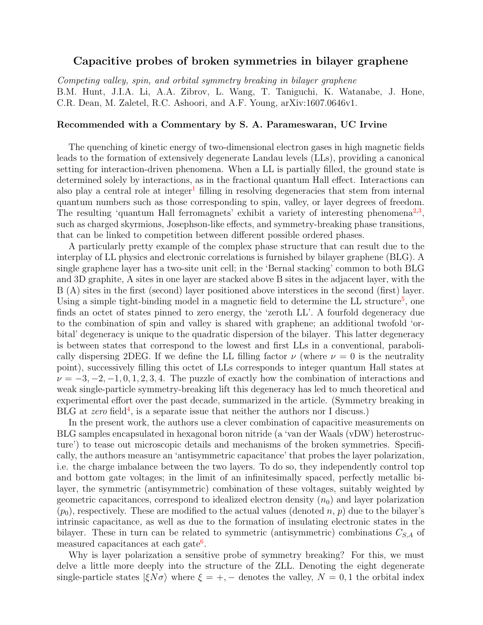## Capacitive probes of broken symmetries in bilayer graphene

Competing valley, spin, and orbital symmetry breaking in bilayer graphene B.M. Hunt, J.I.A. Li, A.A. Zibrov, L. Wang, T. Taniguchi, K. Watanabe, J. Hone, C.R. Dean, M. Zaletel, R.C. Ashoori, and A.F. Young, arXiv:1607.0646v1.

## Recommended with a Commentary by S. A. Parameswaran, UC Irvine

The quenching of kinetic energy of two-dimensional electron gases in high magnetic fields leads to the formation of extensively degenerate Landau levels (LLs), providing a canonical setting for interaction-driven phenomena. When a LL is partially filled, the ground state is determined solely by interactions, as in the fractional quantum Hall effect. Interactions can also play a central role at integer<sup>[1](#page-2-0)</sup> filling in resolving degeneracies that stem from internal quantum numbers such as those corresponding to spin, valley, or layer degrees of freedom. The resulting 'quantum Hall ferromagnets' exhibit a variety of interesting phenomena<sup>[2](#page-2-1)[,3](#page-2-2)</sup>, such as charged skyrmions, Josephson-like effects, and symmetry-breaking phase transitions, that can be linked to competition between different possible ordered phases.

A particularly pretty example of the complex phase structure that can result due to the interplay of LL physics and electronic correlations is furnished by bilayer graphene (BLG). A single graphene layer has a two-site unit cell; in the 'Bernal stacking' common to both BLG and 3D graphite, A sites in one layer are stacked above B sites in the adjacent layer, with the B (A) sites in the first (second) layer positioned above interstices in the second (first) layer. Using a simple tight-binding model in a magnetic field to determine the LL structure<sup>[5](#page-2-3)</sup>, one finds an octet of states pinned to zero energy, the 'zeroth LL'. A fourfold degeneracy due to the combination of spin and valley is shared with graphene; an additional twofold 'orbital' degeneracy is unique to the quadratic dispersion of the bilayer. This latter degeneracy is between states that correspond to the lowest and first LLs in a conventional, parabolically dispersing 2DEG. If we define the LL filling factor  $\nu$  (where  $\nu = 0$  is the neutrality point), successively filling this octet of LLs corresponds to integer quantum Hall states at  $\nu = -3, -2, -1, 0, 1, 2, 3, 4$ . The puzzle of exactly how the combination of interactions and weak single-particle symmetry-breaking lift this degeneracy has led to much theoretical and experimental effort over the past decade, summarized in the article. (Symmetry breaking in BLG at *zero* field<sup>[4](#page-2-4)</sup>, is a separate issue that neither the authors nor I discuss.)

In the present work, the authors use a clever combination of capacitive measurements on BLG samples encapsulated in hexagonal boron nitride (a 'van der Waals (vDW) heterostructure') to tease out microscopic details and mechanisms of the broken symmetries. Specifically, the authors measure an 'antisymmetric capacitance' that probes the layer polarization, i.e. the charge imbalance between the two layers. To do so, they independently control top and bottom gate voltages; in the limit of an infinitesimally spaced, perfectly metallic bilayer, the symmetric (antisymmetric) combination of these voltages, suitably weighted by geometric capacitances, correspond to idealized electron density  $(n_0)$  and layer polarization  $(p_0)$ , respectively. These are modified to the actual values (denoted n, p) due to the bilayer's intrinsic capacitance, as well as due to the formation of insulating electronic states in the bilayer. These in turn can be related to symmetric (antisymmetric) combinations  $C_{S,A}$  of measured capacitances at each gate<sup>[6](#page-2-5)</sup>.

Why is layer polarization a sensitive probe of symmetry breaking? For this, we must delve a little more deeply into the structure of the ZLL. Denoting the eight degenerate single-particle states  $|\xi N\sigma\rangle$  where  $\xi = +, -$  denotes the valley,  $N = 0, 1$  the orbital index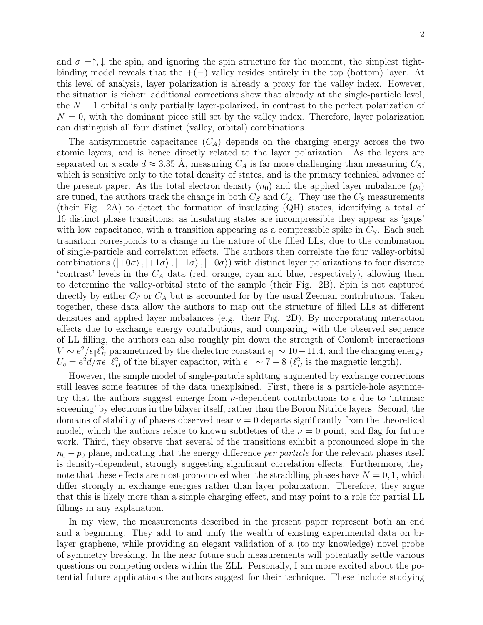and  $\sigma = \uparrow, \downarrow$  the spin, and ignoring the spin structure for the moment, the simplest tightbinding model reveals that the  $+(-)$  valley resides entirely in the top (bottom) layer. At this level of analysis, layer polarization is already a proxy for the valley index. However, the situation is richer: additional corrections show that already at the single-particle level, the  $N = 1$  orbital is only partially layer-polarized, in contrast to the perfect polarization of  $N = 0$ , with the dominant piece still set by the valley index. Therefore, layer polarization can distinguish all four distinct (valley, orbital) combinations.

The antisymmetric capacitance  $(C_A)$  depends on the charging energy across the two atomic layers, and is hence directly related to the layer polarization. As the layers are separated on a scale  $d \approx 3.35$  Å, measuring  $C_A$  is far more challenging than measuring  $C_S$ , which is sensitive only to the total density of states, and is the primary technical advance of the present paper. As the total electron density  $(n_0)$  and the applied layer imbalance  $(p_0)$ are tuned, the authors track the change in both  $C_S$  and  $C_A$ . They use the  $C_S$  measurements (their Fig. 2A) to detect the formation of insulating (QH) states, identifying a total of 16 distinct phase transitions: as insulating states are incompressible they appear as 'gaps' with low capacitance, with a transition appearing as a compressible spike in  $C_S$ . Each such transition corresponds to a change in the nature of the filled LLs, due to the combination of single-particle and correlation effects. The authors then correlate the four valley-orbital combinations  $(|+0\sigma\rangle, |+1\sigma\rangle, |-1\sigma\rangle, |-0\sigma\rangle)$  with distinct layer polarizations to four discrete 'contrast' levels in the  $C_A$  data (red, orange, cyan and blue, respectively), allowing them to determine the valley-orbital state of the sample (their Fig. 2B). Spin is not captured directly by either  $C_S$  or  $C_A$  but is accounted for by the usual Zeeman contributions. Taken together, these data allow the authors to map out the structure of filled LLs at different densities and applied layer imbalances (e.g. their Fig. 2D). By incorporating interaction effects due to exchange energy contributions, and comparing with the observed sequence of LL filling, the authors can also roughly pin down the strength of Coulomb interactions  $V \sim e^2/\epsilon_{\parallel} \ell_B^2$  parametrized by the dielectric constant  $\epsilon_{\parallel} \sim 10-11.4$ , and the charging energy  $U_c = e^2 d/\pi \epsilon_\perp \ell_B^2$  of the bilayer capacitor, with  $\epsilon_\perp \sim 7 - 8$  ( $\ell_B^2$  is the magnetic length).

However, the simple model of single-particle splitting augmented by exchange corrections still leaves some features of the data unexplained. First, there is a particle-hole asymmetry that the authors suggest emerge from  $\nu$ -dependent contributions to  $\epsilon$  due to 'intrinsic screening' by electrons in the bilayer itself, rather than the Boron Nitride layers. Second, the domains of stability of phases observed near  $\nu = 0$  departs significantly from the theoretical model, which the authors relate to known subtleties of the  $\nu = 0$  point, and flag for future work. Third, they observe that several of the transitions exhibit a pronounced slope in the  $n_0 - p_0$  plane, indicating that the energy difference *per particle* for the relevant phases itself is density-dependent, strongly suggesting significant correlation effects. Furthermore, they note that these effects are most pronounced when the straddling phases have  $N = 0, 1$ , which differ strongly in exchange energies rather than layer polarization. Therefore, they argue that this is likely more than a simple charging effect, and may point to a role for partial LL fillings in any explanation.

In my view, the measurements described in the present paper represent both an end and a beginning. They add to and unify the wealth of existing experimental data on bilayer graphene, while providing an elegant validation of a (to my knowledge) novel probe of symmetry breaking. In the near future such measurements will potentially settle various questions on competing orders within the ZLL. Personally, I am more excited about the potential future applications the authors suggest for their technique. These include studying